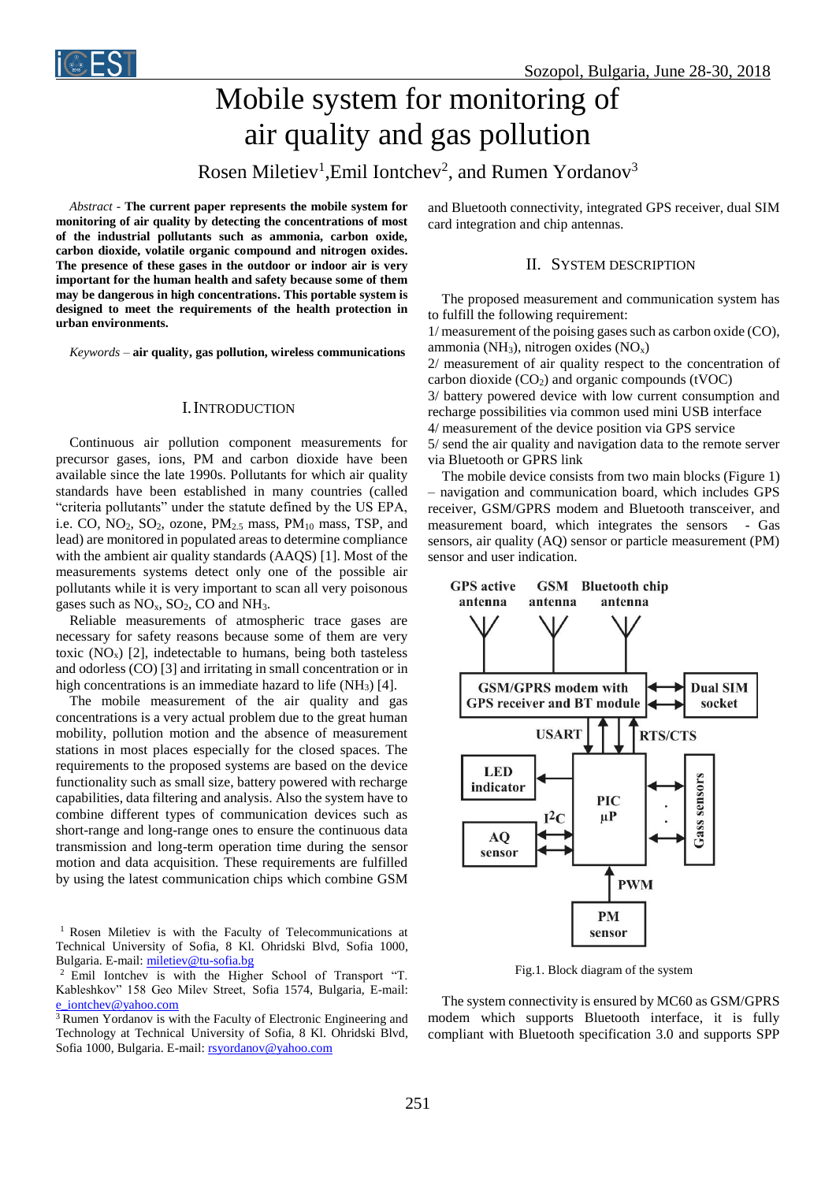

# Mobile system for monitoring of air quality and gas pollution

Rosen Miletiev<sup>1</sup>, Emil Iontchev<sup>2</sup>, and Rumen Yordanov<sup>3</sup>

*Abstract -* **The current paper represents the mobile system for monitoring of air quality by detecting the concentrations of most of the industrial pollutants such as ammonia, carbon oxide, carbon dioxide, volatile organic compound and nitrogen oxides. The presence of these gases in the outdoor or indoor air is very important for the human health and safety because some of them may be dangerous in high concentrations. This portable system is designed to meet the requirements of the health protection in urban environments.**

*Keywords –* **air quality, gas pollution, wireless communications**

#### I.INTRODUCTION

Continuous air pollution component measurements for precursor gases, ions, PM and carbon dioxide have been available since the late 1990s. Pollutants for which air quality standards have been established in many countries (called "criteria pollutants" under the statute defined by the US EPA, i.e. CO,  $NO_2$ ,  $SO_2$ , ozone,  $PM_{2.5}$  mass,  $PM_{10}$  mass, TSP, and lead) are monitored in populated areas to determine compliance with the ambient air quality standards (AAQS) [1]. Most of the measurements systems detect only one of the possible air pollutants while it is very important to scan all very poisonous gases such as  $NO<sub>x</sub>$ ,  $SO<sub>2</sub>$ ,  $CO$  and  $NH<sub>3</sub>$ .

Reliable measurements of atmospheric trace gases are necessary for safety reasons because some of them are very toxic  $(NO<sub>x</sub>)$  [2], indetectable to humans, being both tasteless and odorless (CO) [3] and irritating in small concentration or in high concentrations is an immediate hazard to life  $(NH_3)$  [4].

The mobile measurement of the air quality and gas concentrations is a very actual problem due to the great human mobility, pollution motion and the absence of measurement stations in most places especially for the closed spaces. The requirements to the proposed systems are based on the device functionality such as small size, battery powered with recharge capabilities, data filtering and analysis. Also the system have to combine different types of communication devices such as short-range and long-range ones to ensure the continuous data transmission and long-term operation time during the sensor motion and data acquisition. These requirements are fulfilled by using the latest communication chips which combine GSM

<sup>1</sup> Rosen Miletiev is with the Faculty of Telecommunications at Technical University of Sofia, 8 Kl. Ohridski Blvd, Sofia 1000, Bulgaria. E-mail[: miletiev@tu-sofia.bg](mailto:miletiev@tu-sofia.bg)

<sup>2</sup>Emil Iontchev is with the Higher School of Transport "T. Kableshkov" 158 Geo Milev Street, Sofia 1574, Bulgaria, E-mail: [e\\_iontchev@yahoo.com](mailto:e_iontchev@yahoo.com) 

<sup>3</sup> Rumen Yordanov is with the Faculty of Electronic Engineering and Technology at Technical University of Sofia, 8 Kl. Ohridski Blvd, Sofia 1000, Bulgaria. E-mail: [rsyordanov@yahoo.com](mailto:rsyordanov@yahoo.com)

and Bluetooth connectivity, integrated GPS receiver, dual SIM card integration and chip antennas.

#### II. SYSTEM DESCRIPTION

The proposed measurement and communication system has to fulfill the following requirement:

1/ measurement of the poising gases such as carbon oxide (CO), ammonia (NH<sub>3</sub>), nitrogen oxides  $(NO<sub>x</sub>)$ 2/ measurement of air quality respect to the concentration of carbon dioxide  $(CO<sub>2</sub>)$  and organic compounds (tVOC) 3/ battery powered device with low current consumption and recharge possibilities via common used mini USB interface 4/ measurement of the device position via GPS service

5/ send the air quality and navigation data to the remote server via Bluetooth or GPRS link

 The mobile device consists from two main blocks (Figure 1) – navigation and communication board, which includes GPS receiver, GSM/GPRS modem and Bluetooth transceiver, and measurement board, which integrates the sensors - Gas sensors, air quality (AQ) sensor or particle measurement (PM) sensor and user indication.



Fig.1. Block diagram of the system

The system connectivity is ensured by MC60 as GSM/GPRS modem which supports Bluetooth interface, it is fully compliant with Bluetooth specification 3.0 and supports SPP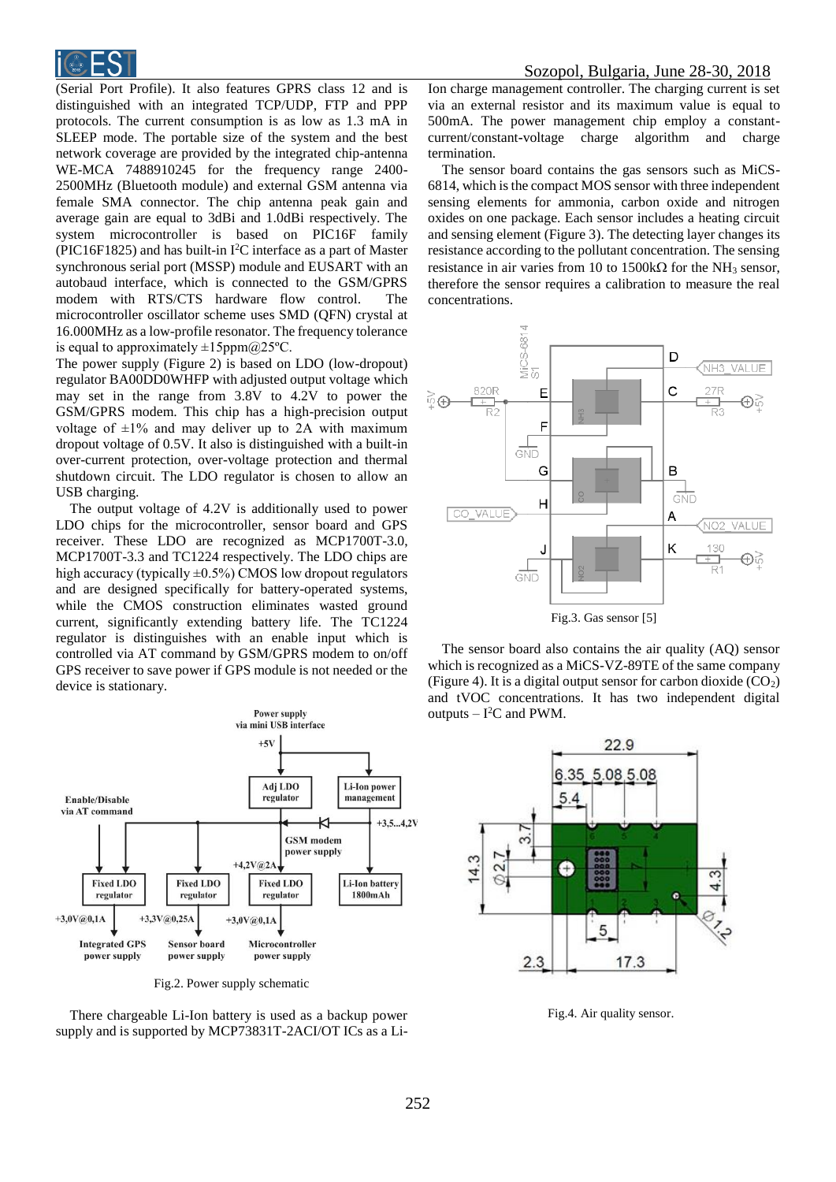

(Serial Port Profile). It also features GPRS class 12 and is distinguished with an integrated TCP/UDP, FTP and PPP protocols. The current consumption is as low as 1.3 mA in SLEEP mode. The portable size of the system and the best network coverage are provided by the integrated chip-antenna WE-MCA 7488910245 for the frequency range 2400- 2500MHz (Bluetooth module) and external GSM antenna via female SMA connector. The chip antenna peak gain and average gain are equal to 3dBi and 1.0dBi respectively. The system microcontroller is based on PIC16F family (PIC16F1825) and has built-in  $I<sup>2</sup>C$  interface as a part of Master synchronous serial port (MSSP) module and EUSART with an autobaud interface, which is connected to the GSM/GPRS modem with RTS/CTS hardware flow control. The microcontroller oscillator scheme uses SMD (QFN) crystal at 16.000MHz as a low-profile resonator. The frequency tolerance is equal to approximately  $\pm 15$ ppm $@25$ °C.

The power supply (Figure 2) is based on LDO (low-dropout) regulator BA00DD0WHFP with adjusted output voltage which may set in the range from 3.8V to 4.2V to power the GSM/GPRS modem. This chip has a high-precision output voltage of  $\pm 1\%$  and may deliver up to 2A with maximum dropout voltage of 0.5V. It also is distinguished with a built-in over-current protection, over-voltage protection and thermal shutdown circuit. The LDO regulator is chosen to allow an USB charging.

The output voltage of 4.2V is additionally used to power LDO chips for the microcontroller, sensor board and GPS receiver. These LDO are recognized as MCP1700T-3.0, MCP1700T-3.3 and TC1224 respectively. The LDO chips are high accuracy (typically  $\pm 0.5\%$ ) CMOS low dropout regulators and are designed specifically for battery-operated systems, while the CMOS construction eliminates wasted ground current, significantly extending battery life. The TC1224 regulator is distinguishes with an enable input which is controlled via AT command by GSM/GPRS modem to on/off GPS receiver to save power if GPS module is not needed or the device is stationary.



Fig.2. Power supply schematic

There chargeable Li-Ion battery is used as a backup power supply and is supported by MCP73831T-2ACI/OT ICs as a LiIon charge management controller. The charging current is set via an external resistor and its maximum value is equal to 500mA. The power management chip employ a constantcurrent/constant**-**voltage charge algorithm and charge termination.

The sensor board contains the gas sensors such as MiCS-6814, which is the compact MOS sensor with three independent sensing elements for ammonia, carbon oxide and nitrogen oxides on one package. Each sensor includes a heating circuit and sensing element (Figure 3). The detecting layer changes its resistance according to the pollutant concentration. The sensing resistance in air varies from 10 to 1500k $\Omega$  for the NH<sub>3</sub> sensor, therefore the sensor requires a calibration to measure the real concentrations.



Fig.3. Gas sensor [5]

The sensor board also contains the air quality (AQ) sensor which is recognized as a MiCS-VZ-89TE of the same company (Figure 4). It is a digital output sensor for carbon dioxide  $(CO<sub>2</sub>)$ and tVOC concentrations. It has two independent digital outputs  $-$  I<sup>2</sup>C and PWM.



Fig.4. Air quality sensor.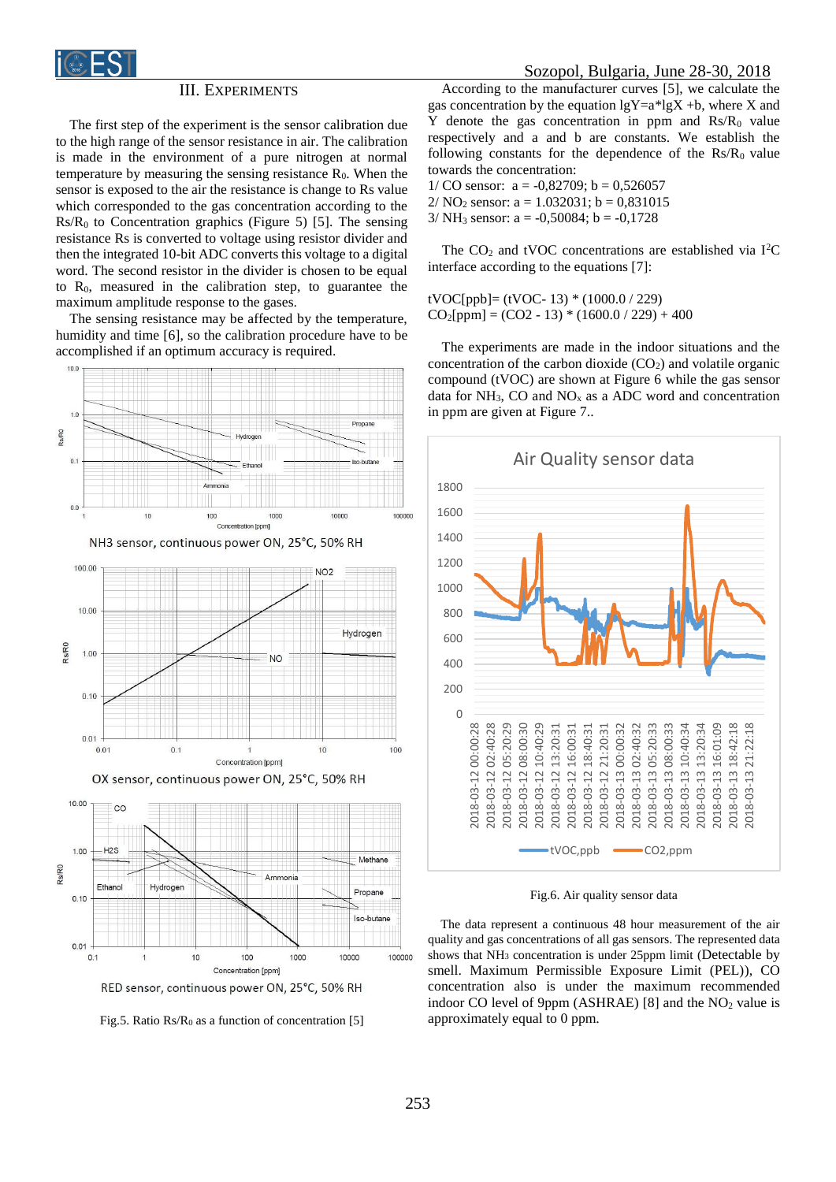

#### III. EXPERIMENTS

The first step of the experiment is the sensor calibration due to the high range of the sensor resistance in air. The calibration is made in the environment of a pure nitrogen at normal temperature by measuring the sensing resistance  $R_0$ . When the sensor is exposed to the air the resistance is change to Rs value which corresponded to the gas concentration according to the  $Rs/R<sub>0</sub>$  to Concentration graphics (Figure 5) [5]. The sensing resistance Rs is converted to voltage using resistor divider and then the integrated 10-bit ADC converts this voltage to a digital word. The second resistor in the divider is chosen to be equal to  $R_0$ , measured in the calibration step, to guarantee the maximum amplitude response to the gases.

The sensing resistance may be affected by the temperature, humidity and time [6], so the calibration procedure have to be accomplished if an optimum accuracy is required.



Fig.5. Ratio Rs/R<sub>0</sub> as a function of concentration [5]

According to the manufacturer curves [5], we calculate the gas concentration by the equation  $lgY=a*lgX +b$ , where X and Y denote the gas concentration in ppm and  $\text{Rs}/\text{R}_0$  value respectively and a and b are constants. We establish the following constants for the dependence of the  $Rs/R_0$  value towards the concentration:

1/ CO sensor:  $a = -0.82709$ ;  $b = 0.526057$ 2/ NO<sub>2</sub> sensor:  $a = 1.032031$ ;  $b = 0.831015$ 

 $3/NH_3$  sensor:  $a = -0,50084$ ;  $b = -0,1728$ 

The  $CO<sub>2</sub>$  and tVOC concentrations are established via I<sup>2</sup>C interface according to the equations [7]:

tVOC[ppb]= (tVOC- 13) \* (1000.0 / 229)  $CO<sub>2</sub>[ppm] = (CO2 - 13) * (1600.0 / 229) + 400$ 

The experiments are made in the indoor situations and the concentration of the carbon dioxide  $(CO<sub>2</sub>)$  and volatile organic compound (tVOC) are shown at Figure 6 while the gas sensor data for  $NH_3$ , CO and  $NO<sub>x</sub>$  as a ADC word and concentration in ppm are given at Figure 7..



Fig.6. Air quality sensor data

 The data represent a continuous 48 hour measurement of the air quality and gas concentrations of all gas sensors. The represented data shows that NH<sub>3</sub> concentration is under 25ppm limit (Detectable by smell. Maximum Permissible Exposure Limit (PEL)), CO concentration also is under the maximum recommended indoor CO level of 9ppm (ASHRAE) [8] and the  $NO<sub>2</sub>$  value is approximately equal to 0 ppm.